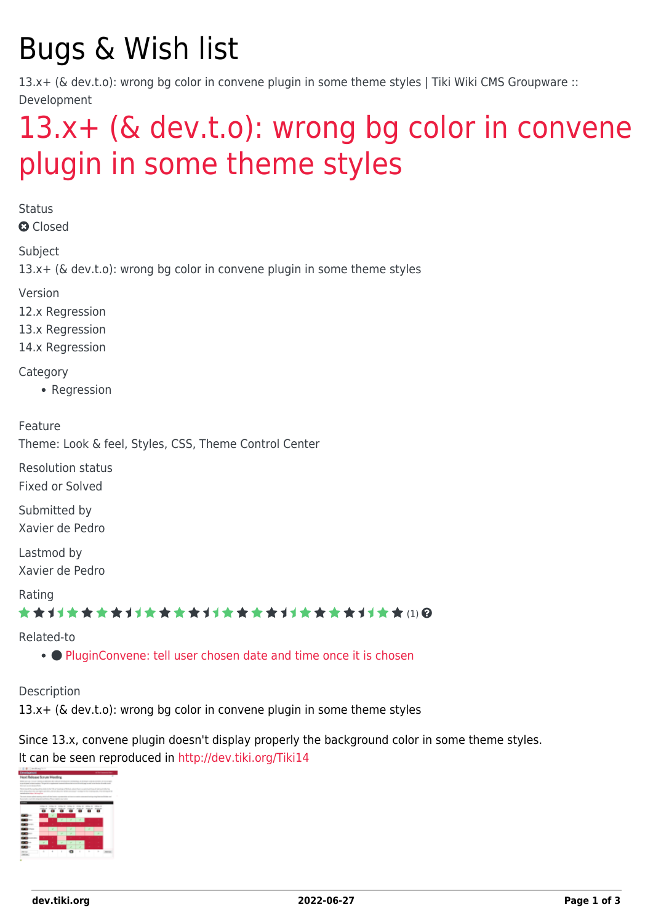# Bugs & Wish list

13.x+ (& dev.t.o): wrong bg color in convene plugin in some theme styles | Tiki Wiki CMS Groupware :: Development

## [13.x+ \(& dev.t.o\): wrong bg color in convene](https://dev.tiki.org/item5509-13-x-dev-t-o-wrong-bg-color-in-convene-plugin-in-some-theme-styles) [plugin in some theme styles](https://dev.tiki.org/item5509-13-x-dev-t-o-wrong-bg-color-in-convene-plugin-in-some-theme-styles)

**Status** 

**a** Closed

Subject

13.x+ (& dev.t.o): wrong bg color in convene plugin in some theme styles

Version

12.x Regression

13.x Regression

14.x Regression

Category

• Regression

Feature

Theme: Look & feel, Styles, CSS, Theme Control Center

Resolution status Fixed or Solved

Submitted by Xavier de Pedro

Lastmod by Xavier de Pedro

Rating

\*\*\*\*\*\*\*\*\*\*\*\*\*\*\*\*\*\*\*\*\*\*\*\*\*\*\*\*\*\*

Related-to

• [PluginConvene: tell user chosen date and time once it is chosen](https://dev.tiki.org/item7893-PluginConvene-tell-user-chosen-date-and-time-once-it-is-chosen)

Description

13.x+ (& dev.t.o): wrong bg color in convene plugin in some theme styles

Since 13.x, convene plugin doesn't display properly the background color in some theme styles. It can be seen reproduced in<http://dev.tiki.org/Tiki14>

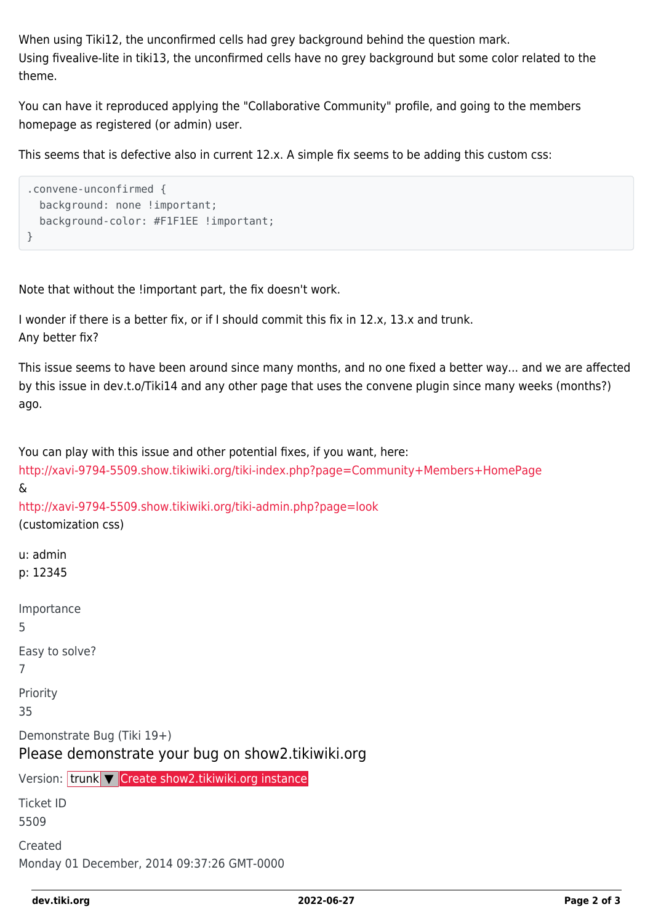When using Tiki12, the unconfirmed cells had grey background behind the question mark. Using fivealive-lite in tiki13, the unconfirmed cells have no grey background but some color related to the theme.

You can have it reproduced applying the "Collaborative Community" profile, and going to the members homepage as registered (or admin) user.

This seems that is defective also in current 12.x. A simple fix seems to be adding this custom css:

```
.convene-unconfirmed {
  background: none !important;
   background-color: #F1F1EE !important;
}
```
Note that without the !important part, the fix doesn't work.

```
I wonder if there is a better fix, or if I should commit this fix in 12.x, 13.x and trunk.
Any better fix?
```
This issue seems to have been around since many months, and no one fixed a better way... and we are affected by this issue in dev.t.o/Tiki14 and any other page that uses the convene plugin since many weeks (months?) ago.

You can play with this issue and other potential fixes, if you want, here:

```
http://xavi-9794-5509.show.tikiwiki.org/tiki-index.php?page=Community+Members+HomePage
&
http://xavi-9794-5509.show.tikiwiki.org/tiki-admin.php?page=look
(customization css)
u: admin
p: 12345
Importance
5
Easy to solve?
7
Priority
35
Demonstrate Bug (Tiki 19+)
Please demonstrate your bug on show2.tikiwiki.org
Create show2.tikiwiki.org instance
Ticket ID
5509
Created
Monday 01 December, 2014 09:37:26 GMT-0000
```